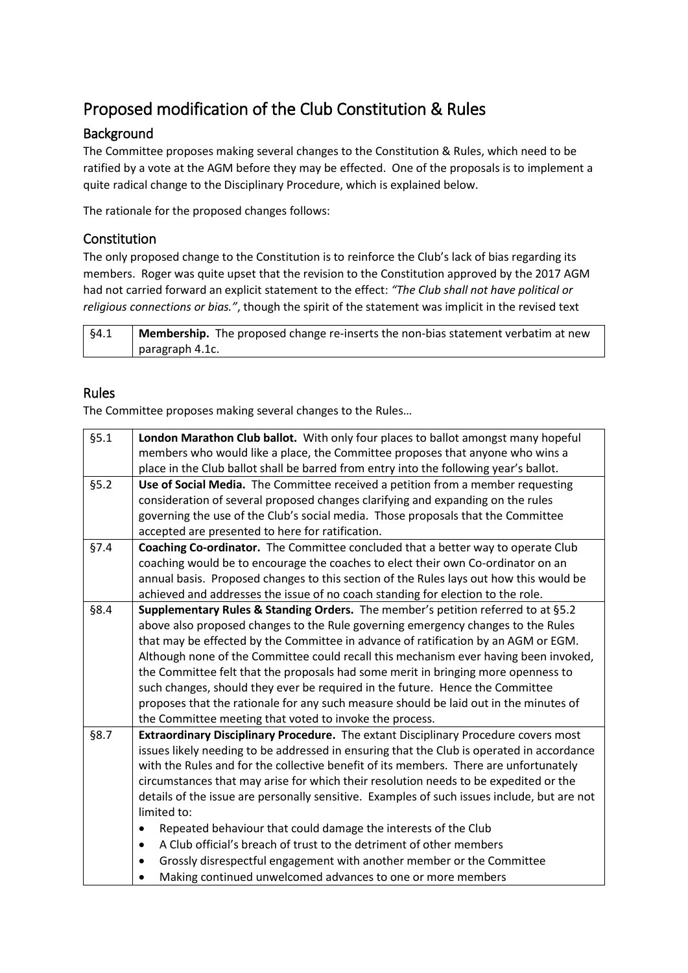# Proposed modification of the Club Constitution & Rules

## Background

The Committee proposes making several changes to the Constitution & Rules, which need to be ratified by a vote at the AGM before they may be effected. One of the proposals is to implement a quite radical change to the Disciplinary Procedure, which is explained below.

The rationale for the proposed changes follows:

#### Constitution

The only proposed change to the Constitution is to reinforce the Club's lack of bias regarding its members. Roger was quite upset that the revision to the Constitution approved by the 2017 AGM had not carried forward an explicit statement to the effect: *"The Club shall not have political or religious connections or bias."*, though the spirit of the statement was implicit in the revised text

| -94.1 | <b>Membership.</b> The proposed change re-inserts the non-bias statement verbatim at new |
|-------|------------------------------------------------------------------------------------------|
|       | paragraph 4.1c.                                                                          |

#### Rules

The Committee proposes making several changes to the Rules…

| §5.1 | London Marathon Club ballot. With only four places to ballot amongst many hopeful           |
|------|---------------------------------------------------------------------------------------------|
|      | members who would like a place, the Committee proposes that anyone who wins a               |
|      | place in the Club ballot shall be barred from entry into the following year's ballot.       |
| §5.2 | Use of Social Media. The Committee received a petition from a member requesting             |
|      | consideration of several proposed changes clarifying and expanding on the rules             |
|      | governing the use of the Club's social media. Those proposals that the Committee            |
|      | accepted are presented to here for ratification.                                            |
| §7.4 | Coaching Co-ordinator. The Committee concluded that a better way to operate Club            |
|      | coaching would be to encourage the coaches to elect their own Co-ordinator on an            |
|      | annual basis. Proposed changes to this section of the Rules lays out how this would be      |
|      | achieved and addresses the issue of no coach standing for election to the role.             |
| §8.4 | Supplementary Rules & Standing Orders. The member's petition referred to at §5.2            |
|      | above also proposed changes to the Rule governing emergency changes to the Rules            |
|      | that may be effected by the Committee in advance of ratification by an AGM or EGM.          |
|      | Although none of the Committee could recall this mechanism ever having been invoked,        |
|      | the Committee felt that the proposals had some merit in bringing more openness to           |
|      | such changes, should they ever be required in the future. Hence the Committee               |
|      | proposes that the rationale for any such measure should be laid out in the minutes of       |
|      | the Committee meeting that voted to invoke the process.                                     |
| §8.7 | Extraordinary Disciplinary Procedure. The extant Disciplinary Procedure covers most         |
|      | issues likely needing to be addressed in ensuring that the Club is operated in accordance   |
|      | with the Rules and for the collective benefit of its members. There are unfortunately       |
|      | circumstances that may arise for which their resolution needs to be expedited or the        |
|      | details of the issue are personally sensitive. Examples of such issues include, but are not |
|      | limited to:                                                                                 |
|      | Repeated behaviour that could damage the interests of the Club<br>$\bullet$                 |
|      | A Club official's breach of trust to the detriment of other members<br>$\bullet$            |
|      | Grossly disrespectful engagement with another member or the Committee<br>٠                  |
|      | Making continued unwelcomed advances to one or more members<br>$\bullet$                    |